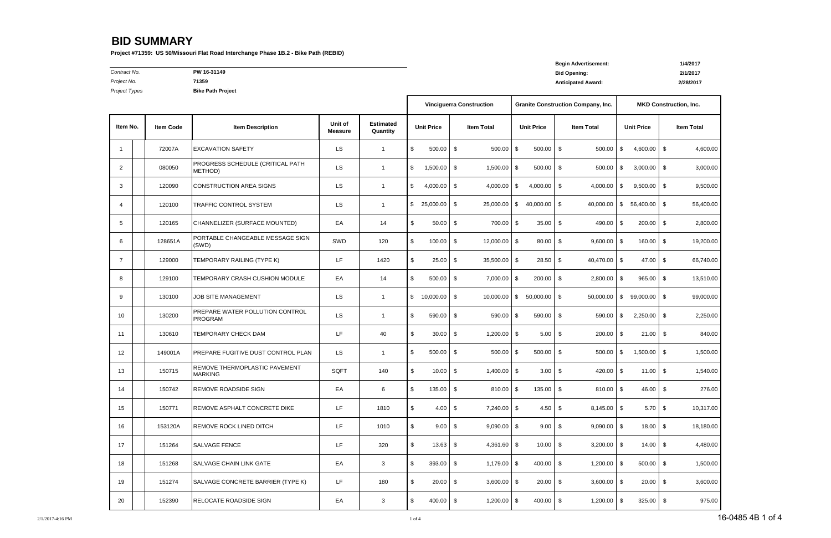**Begin Advertisement: 1/4/2017**

*Contract No.* **PW 16-31149 Bid Opening: 2/1/2017**

*Project No.* **71359 Anticipated Award: 2/28/2017**

*Project Types* **Bike Path Project**

|                |                  |                                                   |                           |                              |                      |           | <b>Vinciguerra Construction</b> |                                        |     | <b>Granite Construction Company, Inc.</b> |                   | <b>MKD Construction, Inc.</b> |                   |           |
|----------------|------------------|---------------------------------------------------|---------------------------|------------------------------|----------------------|-----------|---------------------------------|----------------------------------------|-----|-------------------------------------------|-------------------|-------------------------------|-------------------|-----------|
| Item No.       | <b>Item Code</b> | <b>Item Description</b>                           | Unit of<br><b>Measure</b> | <b>Estimated</b><br>Quantity | <b>Unit Price</b>    |           | <b>Item Total</b>               | <b>Unit Price</b><br><b>Item Total</b> |     |                                           | <b>Unit Price</b> |                               | <b>Item Total</b> |           |
| -1             | 72007A           | <b>EXCAVATION SAFETY</b>                          | <b>LS</b>                 | $\mathbf{1}$                 | \$<br>500.00         | \$        | 500.00                          | 500.00<br>- \$                         | \$  | 500.00                                    | \$                | 4,600.00                      | \$                | 4,600.00  |
| 2              | 080050           | PROGRESS SCHEDULE (CRITICAL PATH<br>METHOD)       | <b>LS</b>                 | $\mathbf{1}$                 | 1,500.00<br>\$       | \$        | 1,500.00                        | $500.00$ \$<br>l \$                    |     | $500.00$ \$                               |                   | 3,000.00                      | \$                | 3,000.00  |
| 3              | 120090           | <b>CONSTRUCTION AREA SIGNS</b>                    | LS.                       | $\mathbf{1}$                 | 4,000.00<br>\$       | \$        | 4,000.00                        | $4,000.00$ \$<br>I \$                  |     | $4,000.00$ \$                             |                   | 9,500.00                      | \$                | 9,500.00  |
| 4              | 120100           | <b>TRAFFIC CONTROL SYSTEM</b>                     | LS.                       | $\mathbf{1}$                 | 25,000.00<br>\$      | \$        | 25,000.00                       | - \$<br>$40,000.00$ \ \$               |     | $40,000.00$ \$                            |                   | 56,400.00                     | \$                | 56,400.00 |
| 5              | 120165           | CHANNELIZER (SURFACE MOUNTED)                     | EA                        | 14                           | \$<br>50.00          | \$        | 700.00                          | $35.00$ \$<br>$\sqrt{3}$               |     | 490.00 $\frac{1}{3}$                      |                   | 200.00                        | \$                | 2,800.00  |
| 6              | 128651A          | PORTABLE CHANGEABLE MESSAGE SIGN<br>(SWD)         | SWD                       | 120                          | \$<br>100.00         | \$        | 12,000.00                       | 80.00<br>l \$                          | -\$ | $9,600.00$ \$                             |                   | 160.00                        | \$                | 19,200.00 |
| $\overline{7}$ | 129000           | TEMPORARY RAILING (TYPE K)                        | LF.                       | 1420                         | \$<br>25.00          | - \$      | 35,500.00 \$                    | $28.50$ \$                             |     | 40,470.00 \$                              |                   | $47.00$ \$                    |                   | 66,740.00 |
| 8              | 129100           | TEMPORARY CRASH CUSHION MODULE                    | EA                        | 14                           | \$<br>500.00         | \$        | 7,000.00                        | 200.00<br>l \$                         | \$  | $2,800.00$ \$                             |                   | 965.00                        | \$                | 13,510.00 |
| 9              | 130100           | <b>JOB SITE MANAGEMENT</b>                        | LS.                       | $\mathbf{1}$                 | \$<br>$10,000.00$ \$ |           | 10,000.00                       | $50,000.00$ \$<br><b>IS</b>            |     | $50,000.00$ \$                            |                   | $99,000.00$ \$                |                   | 99,000.00 |
| 10             | 130200           | PREPARE WATER POLLUTION CONTROL<br><b>PROGRAM</b> | <b>LS</b>                 | $\mathbf{1}$                 | 590.00<br>\$         | \$        | 590.00                          | 590.00<br>IS.                          | \$  | 590.00                                    | \$                | 2,250.00                      | \$                | 2,250.00  |
| 11             | 130610           | <b>TEMPORARY CHECK DAM</b>                        | LF                        | 40                           | \$<br>30.00          | \$        | $1,200.00$ \$                   | 5.00                                   | \$  | $200.00$ \$                               |                   | 21.00                         | \$                | 840.00    |
| 12             | 149001A          | PREPARE FUGITIVE DUST CONTROL PLAN                | LS.                       | $\mathbf{1}$                 | \$<br>500.00         | \$        | 500.00                          | 500.00<br>l \$                         | \$  | $500.00$ \$                               |                   | 1,500.00                      | \$                | 1,500.00  |
| 13             | 150715           | REMOVE THERMOPLASTIC PAVEMENT<br><b>MARKING</b>   | SQFT                      | 140                          | \$<br>10.00          | \$        | $1,400.00$ \$                   | $3.00 \, \text{S}$                     |     | 420.00 $\frac{1}{3}$                      |                   | 11.00                         | \$                | 1,540.00  |
| 14             | 150742           | REMOVE ROADSIDE SIGN                              | EA                        | 6                            | \$<br>135.00         | \$        | 810.00                          | 135.00<br>l \$                         | \$  | $810.00$ \$                               |                   | 46.00                         | \$                | 276.00    |
| 15             | 150771           | REMOVE ASPHALT CONCRETE DIKE                      | LF.                       | 1810                         | \$                   | $4.00$ \$ | $7,240.00$ \$                   | $4.50$ \$                              |     | $8,145.00$ \$                             |                   | $5.70$ \$                     |                   | 10,317.00 |
| 16             | 153120A          | <b>REMOVE ROCK LINED DITCH</b>                    | LF.                       | 1010                         | \$                   | $9.00$ \$ | $9,090.00$ \$                   | $9.00$ \$                              |     | $9,090.00$ \$                             |                   | $18.00$ \$                    |                   | 18,180.00 |
| 17             | 151264           | <b>SALVAGE FENCE</b>                              | LF.                       | 320                          | \$<br>$13.63$ \$     |           | $4,361.60$ \$                   | $10.00$ \$                             |     | $3,200.00$ \$                             |                   | $14.00$ \$                    |                   | 4,480.00  |
| 18             | 151268           | SALVAGE CHAIN LINK GATE                           | EA                        | 3                            | \$<br>$393.00$ \$    |           | $1,179.00$ \$                   | $400.00$ \$                            |     | $1,200.00$ \$                             |                   | $500.00$ \$                   |                   | 1,500.00  |
| 19             | 151274           | SALVAGE CONCRETE BARRIER (TYPE K)                 | LF.                       | 180                          | $20.00$ \$<br>\$     |           | $3,600.00$ \$                   | $20.00$ \$                             |     | $3,600.00$ \$                             |                   | $20.00$ \$                    |                   | 3,600.00  |
| 20             | 152390           | <b>RELOCATE ROADSIDE SIGN</b>                     | EA                        | $\ensuremath{\mathsf{3}}$    | \$<br>$400.00$ \$    |           | $1,200.00$ \$                   | $400.00$ \$                            |     | $1,200.00$ \$                             |                   | $325.00$ \$                   |                   | 975.00    |

# **BID SUMMARY**

**Project #71359: US 50/Missouri Flat Road Interchange Phase 1B.2 - Bike Path (REBID)**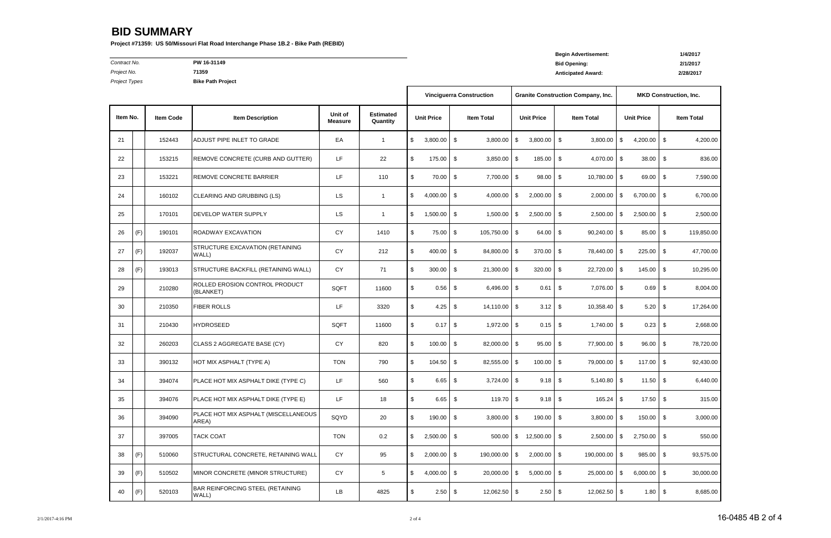**Begin Advertisement: 1/4/2017**

*Contract No.* **PW 16-31149 Bid Opening: 2/1/2017** *Project No.* **71359 Anticipated Award: 2/28/2017**

*Project Types* **Bike Path Project**

# **BID SUMMARY**

**Project #71359: US 50/Missouri Flat Road Interchange Phase 1B.2 - Bike Path (REBID)**

|          |     |                  |                                               |                           |                              | <b>Vinciguerra Construction</b> |               |                   |                |                   |               | <b>Granite Construction Company, Inc.</b> | <b>MKD Construction, Inc.</b> |                   |    |                   |  |
|----------|-----|------------------|-----------------------------------------------|---------------------------|------------------------------|---------------------------------|---------------|-------------------|----------------|-------------------|---------------|-------------------------------------------|-------------------------------|-------------------|----|-------------------|--|
| Item No. |     | <b>Item Code</b> | <b>Item Description</b>                       | Unit of<br><b>Measure</b> | <b>Estimated</b><br>Quantity | <b>Unit Price</b>               |               | <b>Item Total</b> |                | <b>Unit Price</b> |               | <b>Item Total</b>                         |                               | <b>Unit Price</b> |    | <b>Item Total</b> |  |
| 21       |     | 152443           | ADJUST PIPE INLET TO GRADE                    | EA                        | $\mathbf{1}$                 | \$                              | 3,800.00      | $\vert$ \$        | 3,800.00       | - \$              | 3,800.00      | \$<br>3,800.00                            | \$                            | $4,200.00$ \$     |    | 4,200.00          |  |
| 22       |     | 153215           | REMOVE CONCRETE (CURB AND GUTTER)             | LF.                       | 22                           | \$                              | 175.00        | - \$              | $3,850.00$ \$  |                   | 185.00        | \$<br>4,070.00 \$                         |                               | 38.00             | \$ | 836.00            |  |
| 23       |     | 153221           | <b>REMOVE CONCRETE BARRIER</b>                | LF.                       | 110                          | \$                              | 70.00         | $\sqrt{3}$        | 7,700.00 \$    |                   | $98.00$ \$    | 10,780.00 \$                              |                               | $69.00$ \$        |    | 7,590.00          |  |
| 24       |     | 160102           | CLEARING AND GRUBBING (LS)                    | LS                        | $\mathbf{1}$                 | \$                              | 4,000.00      | - \$              | 4,000.00       | l \$              | 2,000.00      | \$<br>2,000.00                            | l \$                          | $6,700.00$ \$     |    | 6,700.00          |  |
| 25       |     | 170101           | <b>DEVELOP WATER SUPPLY</b>                   | <b>LS</b>                 | $\mathbf{1}$                 | \$                              | 1,500.00      | $\sqrt{3}$        | 1,500.00       | - \$              | 2,500.00      | \$<br>2,500.00                            | -\$                           | $2,500.00$ \$     |    | 2,500.00          |  |
| 26       | (F) | 190101           | <b>ROADWAY EXCAVATION</b>                     | CY                        | 1410                         | \$                              | 75.00         | $\sqrt{3}$        | 105,750.00 \$  |                   | $64.00$ \ \$  | $90,240.00$ \$                            |                               | 85.00 \$          |    | 119,850.00        |  |
| 27       | (F) | 192037           | STRUCTURE EXCAVATION (RETAINING<br>WALL)      | <b>CY</b>                 | 212                          | \$                              | 400.00        | $\vert$ \$        | 84,800.00 \$   |                   | $370.00$ \$   | 78,440.00 \$                              |                               | $225.00$ \$       |    | 47,700.00         |  |
| 28       | (F) | 193013           | STRUCTURE BACKFILL (RETAINING WALL)           | <b>CY</b>                 | 71                           | \$                              | 300.00        | $\sqrt{3}$        | $21,300.00$ \$ |                   | 320.00        | \$<br>22,720.00 \$                        |                               | $145.00$ \$       |    | 10,295.00         |  |
| 29       |     | 210280           | ROLLED EROSION CONTROL PRODUCT<br>(BLANKET)   | SQFT                      | 11600                        | \$                              | 0.56          | $\sqrt{3}$        | $6,496.00$ \$  |                   | 0.61          | \$<br>7,076.00 \$                         |                               | 0.69              | \$ | 8,004.00          |  |
| 30       |     | 210350           | <b>FIBER ROLLS</b>                            | LF                        | 3320                         | \$                              | 4.25          | $\sqrt{3}$        | 14,110.00 \$   |                   | 3.12          | \$<br>10,358.40 \$                        |                               | $5.20$ \$         |    | 17,264.00         |  |
| 31       |     | 210430           | <b>HYDROSEED</b>                              | SQFT                      | 11600                        | \$                              | 0.17          | \$                | $1,972.00$ \$  |                   | 0.15          | \$<br>$1,740.00$ \$                       |                               | 0.23              | \$ | 2,668.00          |  |
| 32       |     | 260203           | CLASS 2 AGGREGATE BASE (CY)                   | <b>CY</b>                 | 820                          | \$                              | 100.00        | $\sqrt{3}$        | $82,000.00$ \$ |                   | $95.00$ \ \$  | 77,900.00 \$                              |                               | $96.00$ \$        |    | 78,720.00         |  |
| 33       |     | 390132           | HOT MIX ASPHALT (TYPE A)                      | <b>TON</b>                | 790                          | \$                              | 104.50        | $\sqrt{3}$        | 82,555.00 \$   |                   | 100.00        | \$<br>79,000.00 \$                        |                               | $117.00$ \$       |    | 92,430.00         |  |
| 34       |     | 394074           | PLACE HOT MIX ASPHALT DIKE (TYPE C)           | LF.                       | 560                          | \$                              | 6.65          | - \$              | $3,724.00$ \$  |                   | 9.18          | \$<br>$5,140.80$ \$                       |                               | $11.50$ \$        |    | 6,440.00          |  |
| 35       |     | 394076           | PLACE HOT MIX ASPHALT DIKE (TYPE E)           | LF                        | 18                           | \$                              | $6.65$ \$     |                   | $119.70$ \$    |                   | $9.18$ \$     | $165.24$ \$                               |                               | $17.50$ \$        |    | 315.00            |  |
| 36       |     | 394090           | PLACE HOT MIX ASPHALT (MISCELLANEOUS<br>AREA) | SQYD                      | 20                           | \$                              | 190.00 \$     |                   | $3,800.00$ \$  |                   | $190.00$ \$   | $3,800.00$ \$                             |                               | $150.00$ \$       |    | 3,000.00          |  |
| 37       |     | 397005           | <b>TACK COAT</b>                              | <b>TON</b>                | $0.2\,$                      | \$                              | $2,500.00$ \$ |                   | 500.00         | \$                | 12,500.00     | \$<br>$2,500.00$ \$                       |                               | $2,750.00$ \$     |    | 550.00            |  |
| 38       | (F) | 510060           | STRUCTURAL CONCRETE, RETAINING WALL           | CY                        | 95                           | \$                              | $2,000.00$ \$ |                   | 190,000.00 \$  |                   | $2,000.00$ \$ | 190,000.00 \$                             |                               | $985.00$ \$       |    | 93,575.00         |  |
| 39       | (F) | 510502           | MINOR CONCRETE (MINOR STRUCTURE)              | CY                        | 5                            | \$                              | $4,000.00$ \$ |                   | 20,000.00 \$   |                   | $5,000.00$ \$ | $25,000.00$ \$                            |                               | $6,000.00$ \$     |    | 30,000.00         |  |
| 40       | (F) | 520103           | BAR REINFORCING STEEL (RETAINING<br>WALL)     | LB                        | 4825                         | \$                              | $2.50$ \$     |                   | 12,062.50 \$   |                   | $2.50$ \$     | 12,062.50 \$                              |                               | $1.80$ \$         |    | 8,685.00          |  |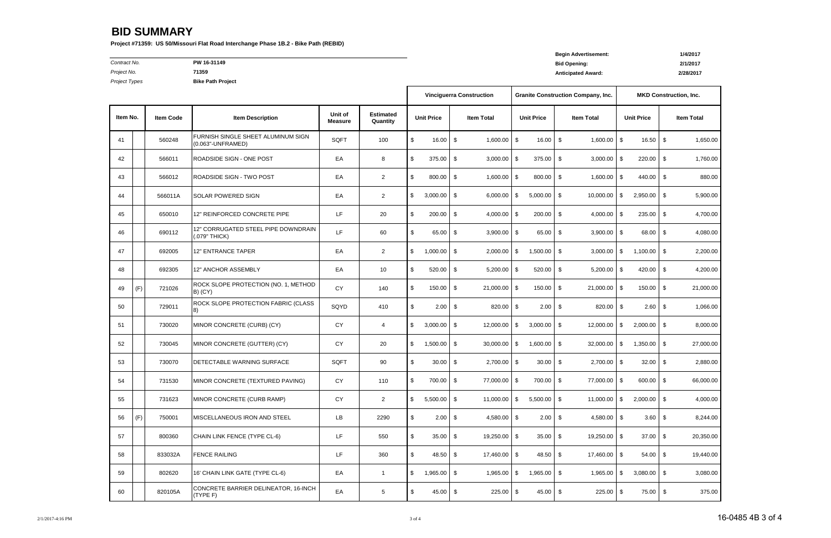# **Begin Advertisement: 1/4/2017**

*Contract No.* **PW 16-31149 Bid Opening: 2/1/2017**

**Project Types** 

*Project No.* **71359 Anticipated Award: 2/28/2017**

## **BID SUMMARY**

**Project #71359: US 50/Missouri Flat Road Interchange Phase 1B.2 - Bike Path (REBID)**

**Item No.**

| ject Types<br><b>Bike Path Project</b> |     |                  |                                                         |                           |                              |                                    |      |                                 |                          |                   |                           |                                           |                               |                   |               |                   |
|----------------------------------------|-----|------------------|---------------------------------------------------------|---------------------------|------------------------------|------------------------------------|------|---------------------------------|--------------------------|-------------------|---------------------------|-------------------------------------------|-------------------------------|-------------------|---------------|-------------------|
|                                        |     |                  |                                                         |                           |                              |                                    |      | <b>Vinciguerra Construction</b> |                          |                   |                           | <b>Granite Construction Company, Inc.</b> | <b>MKD Construction, Inc.</b> |                   |               |                   |
| tem No.                                |     | <b>Item Code</b> | <b>Item Description</b>                                 | Unit of<br><b>Measure</b> | <b>Estimated</b><br>Quantity | <b>Unit Price</b>                  |      | <b>Item Total</b>               |                          | <b>Unit Price</b> |                           | <b>Item Total</b>                         |                               | <b>Unit Price</b> |               | <b>Item Total</b> |
| 41                                     |     | 560248           | FURNISH SINGLE SHEET ALUMINUM SIGN<br>(0.063"-UNFRAMED) | SQFT                      | 100                          | \$<br>16.00                        | \$   | 1,600.00                        | l \$                     | 16.00             | \$                        | 1,600.00                                  | l \$                          | 16.50             | \$            | 1,650.00          |
| 42                                     |     | 566011           | ROADSIDE SIGN - ONE POST                                | EA                        | 8                            | \$<br>375.00                       | \$   | $3,000.00$ \$                   |                          | 375.00            | \$                        | 3,000.00                                  | $\overline{\phantom{a}}$      | 220.00            | \$            | 1,760.00          |
| 43                                     |     | 566012           | ROADSIDE SIGN - TWO POST                                | EA                        | $\overline{2}$               | \$<br>800.00                       | \$   | $1,600.00$ \$                   |                          | 800.00            | \$                        | 1,600.00                                  | $\sqrt{3}$                    | 440.00            | \$            | 880.00            |
| 44                                     |     | 566011A          | <b>SOLAR POWERED SIGN</b>                               | EA                        | $\overline{2}$               | \$<br>3,000.00                     | \$   | $6,000.00$ \$                   |                          | 5,000.00          | - \$                      | 10,000.00                                 | l \$                          | 2,950.00          | \$            | 5,900.00          |
| 45                                     |     | 650010           | 12" REINFORCED CONCRETE PIPE                            | LF.                       | 20                           | \$<br>200.00                       | \$   | $4,000.00$ \$                   |                          | 200.00            | -\$                       | 4,000.00                                  | $\overline{1}$                | 235.00            | \$            | 4,700.00          |
| 46                                     |     | 690112           | 12" CORRUGATED STEEL PIPE DOWNDRAIN<br>(.079" THICK)    | LF                        | 60                           | \$<br>65.00                        | \$   | $3,900.00$ \$                   |                          | 65.00             | \$                        | $3,900.00$ \$                             |                               | 68.00             | \$            | 4,080.00          |
| 47                                     |     | 692005           | <b>12" ENTRANCE TAPER</b>                               | EA                        | $\overline{2}$               | \$<br>1,000.00                     | \$   | 2,000.00                        | $\overline{1}$           | 1,500.00          | \$                        | 3,000.00                                  | l \$                          | 1,100.00          | \$            | 2,200.00          |
| 48                                     |     | 692305           | 12" ANCHOR ASSEMBLY                                     | EA                        | 10                           | \$<br>520.00                       | \$   | $5,200.00$ \$                   |                          | 520.00            | \$                        | $5,200.00$ \$                             |                               | 420.00            | \$            | 4,200.00          |
| 49                                     | (F) | 721026           | ROCK SLOPE PROTECTION (NO. 1, METHOD<br>$B)$ (CY)       | CY                        | 140                          | \$<br>150.00                       | \$   | $21,000.00$ \$                  |                          | 150.00            | \$                        | 21,000.00                                 | $\sqrt{3}$                    | 150.00            | \$            | 21,000.00         |
| 50                                     |     | 729011           | ROCK SLOPE PROTECTION FABRIC (CLASS                     | SQYD                      | 410                          | \$<br>2.00                         | \$   | 820.00                          | $\overline{\phantom{a}}$ | 2.00              | -\$                       | 820.00                                    | $\overline{1}$                | 2.60              | \$            | 1,066.00          |
| 51                                     |     | 730020           | MINOR CONCRETE (CURB) (CY)                              | CY                        | 4                            | 3,000.00<br>\$                     | \$   | 12,000.00                       | <b>IS</b>                | 3,000.00          | \$                        | 12,000.00                                 | l \$                          | 2,000.00          | \$            | 8,000.00          |
| 52                                     |     | 730045           | MINOR CONCRETE (GUTTER) (CY)                            | CY                        | 20                           | \$<br>1,500.00                     | \$   | 30,000.00                       | l \$                     | 1,600.00          | \$                        | 32,000.00                                 | l \$                          | 1,350.00          | \$            | 27,000.00         |
| 53                                     |     | 730070           | DETECTABLE WARNING SURFACE                              | SQFT                      | 90                           | \$<br>30.00                        | \$   | 2,700.00 \$                     |                          | 30.00             | \$                        | 2,700.00                                  | $\sqrt{3}$                    | 32.00             | \$            | 2,880.00          |
| 54                                     |     | 731530           | MINOR CONCRETE (TEXTURED PAVING)                        | CY                        | 110                          | \$<br>700.00                       | - \$ | 77,000.00 \$                    |                          | 700.00            | - \$                      | 77,000.00 \$                              |                               | 600.00            | - \$          | 66,000.00         |
| 55                                     |     | 731623           | MINOR CONCRETE (CURB RAMP)                              | CY                        | $\overline{2}$               | \$<br>5,500.00                     | \$   | $11,000.00$ \$                  |                          | 5,500.00          | $\sqrt[6]{3}$             | $11,000.00$ \$                            |                               | 2,000.00          | \$            | 4,000.00          |
| 56                                     | (F) | 750001           | MISCELLANEOUS IRON AND STEEL                            | LB                        | 2290                         | \$<br>2.00                         | \$   | 4,580.00 \$                     |                          | 2.00              | \$                        | $4,580.00$ \$                             |                               | 3.60              | $\sqrt[6]{3}$ | 8,244.00          |
| 57                                     |     | 800360           | CHAIN LINK FENCE (TYPE CL-6)                            | LF                        | 550                          | $\boldsymbol{\mathsf{S}}$<br>35.00 | \$   | 19,250.00 \$                    |                          | $35.00$ \$        |                           | 19,250.00 \$                              |                               | $37.00$ \$        |               | 20,350.00         |
| 58                                     |     | 833032A          | <b>FENCE RAILING</b>                                    | LF                        | 360                          | $\boldsymbol{\mathsf{S}}$<br>48.50 | \$   | 17,460.00 \$                    |                          | 48.50             | \$                        | 17,460.00 \$                              |                               | 54.00             | \$            | 19,440.00         |
| 59                                     |     | 802620           | 16' CHAIN LINK GATE (TYPE CL-6)                         | EA                        | $\mathbf{1}$                 | \$<br>1,965.00                     | \$   | 1,965.00 \$                     |                          | 1,965.00          | \$                        | 1,965.00                                  | I \$                          | 3,080.00          | \$            | 3,080.00          |
| 60                                     |     | 820105A          | CONCRETE BARRIER DELINEATOR, 16-INCH<br>(TYPE F)        | EA                        | $\,$ 5 $\,$                  | \$<br>45.00                        | \$   | $225.00$ \$                     |                          | 45.00             | $\boldsymbol{\mathsf{S}}$ | 225.00                                    | $\sqrt{3}$                    | 75.00             | \$            | 375.00            |